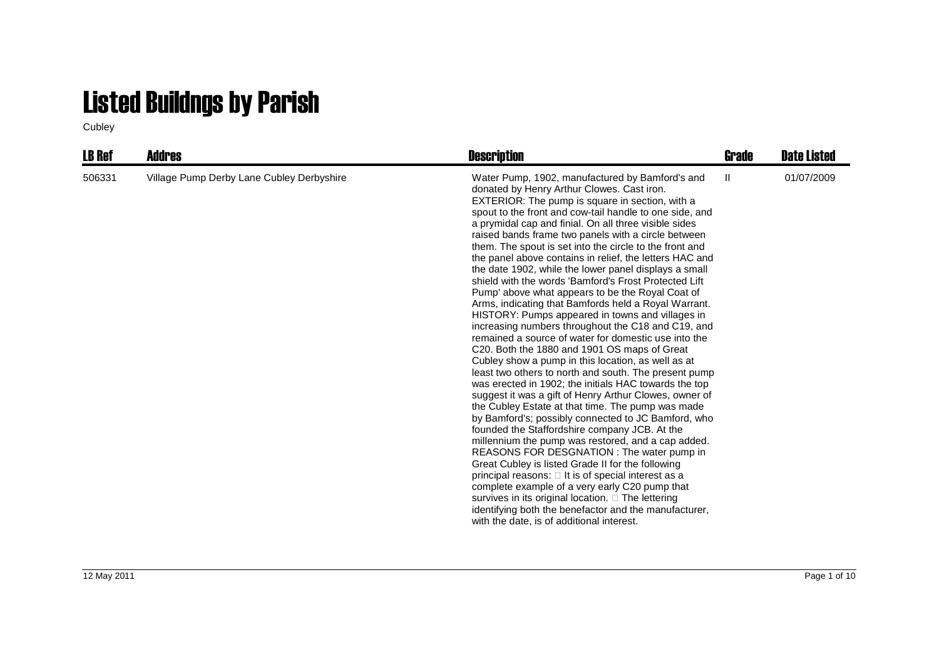## Listed Buildngs by Parish

Cubley

| <b>LB Ref</b> | <b>Addres</b>                             | <b>Description</b>                                                                                                                                                                                                                                                                                                                                                                                                                                                                                                                                                                                                                                                                                                                                                                                                                                                                                                                                                                                                                                                                                                                                                                                                                                                                                                                                                                                                                                                                                                                                                                                                                                                                                                         | Grade | <b>Date Listed</b> |
|---------------|-------------------------------------------|----------------------------------------------------------------------------------------------------------------------------------------------------------------------------------------------------------------------------------------------------------------------------------------------------------------------------------------------------------------------------------------------------------------------------------------------------------------------------------------------------------------------------------------------------------------------------------------------------------------------------------------------------------------------------------------------------------------------------------------------------------------------------------------------------------------------------------------------------------------------------------------------------------------------------------------------------------------------------------------------------------------------------------------------------------------------------------------------------------------------------------------------------------------------------------------------------------------------------------------------------------------------------------------------------------------------------------------------------------------------------------------------------------------------------------------------------------------------------------------------------------------------------------------------------------------------------------------------------------------------------------------------------------------------------------------------------------------------------|-------|--------------------|
| 506331        | Village Pump Derby Lane Cubley Derbyshire | Water Pump, 1902, manufactured by Bamford's and<br>donated by Henry Arthur Clowes. Cast iron.<br>EXTERIOR: The pump is square in section, with a<br>spout to the front and cow-tail handle to one side, and<br>a prymidal cap and finial. On all three visible sides<br>raised bands frame two panels with a circle between<br>them. The spout is set into the circle to the front and<br>the panel above contains in relief, the letters HAC and<br>the date 1902, while the lower panel displays a small<br>shield with the words 'Bamford's Frost Protected Lift<br>Pump' above what appears to be the Royal Coat of<br>Arms, indicating that Bamfords held a Royal Warrant.<br>HISTORY: Pumps appeared in towns and villages in<br>increasing numbers throughout the C18 and C19, and<br>remained a source of water for domestic use into the<br>C20. Both the 1880 and 1901 OS maps of Great<br>Cubley show a pump in this location, as well as at<br>least two others to north and south. The present pump<br>was erected in 1902; the initials HAC towards the top<br>suggest it was a gift of Henry Arthur Clowes, owner of<br>the Cubley Estate at that time. The pump was made<br>by Bamford's; possibly connected to JC Bamford, who<br>founded the Staffordshire company JCB. At the<br>millennium the pump was restored, and a cap added.<br>REASONS FOR DESGNATION : The water pump in<br>Great Cubley is listed Grade II for the following<br>principal reasons: It is of special interest as a<br>complete example of a very early C20 pump that<br>survives in its original location. The lettering<br>identifying both the benefactor and the manufacturer,<br>with the date, is of additional interest. | Ш     | 01/07/2009         |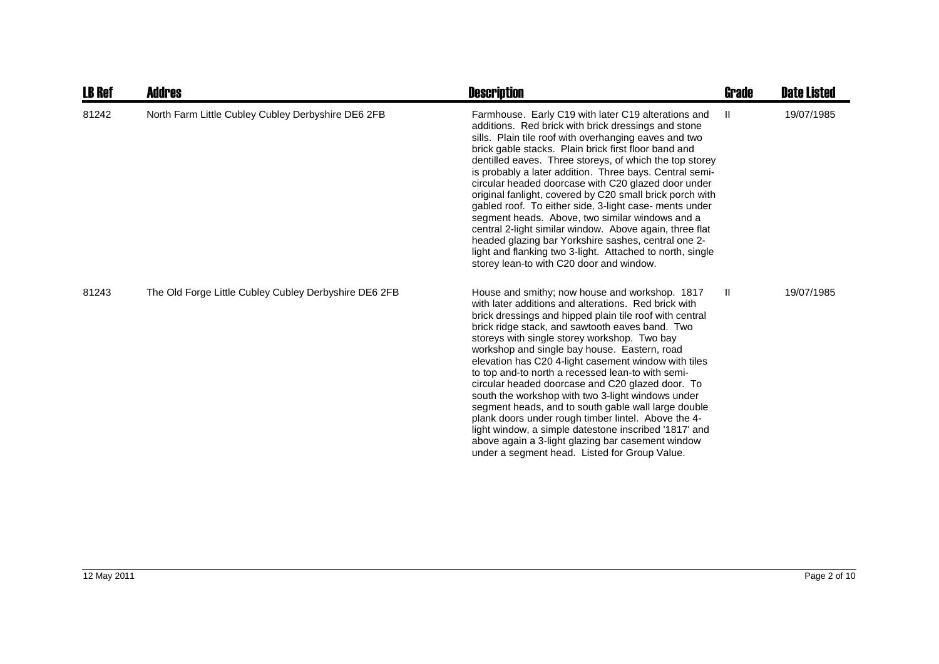| <b>LB Ref</b> | <b>Addres</b>                                         | <b>Description</b>                                                                                                                                                                                                                                                                                                                                                                                                                                                                                                                                                                                                                                                                                                                                                                                                      | <b>Grade</b> | <b>Date Listed</b> |
|---------------|-------------------------------------------------------|-------------------------------------------------------------------------------------------------------------------------------------------------------------------------------------------------------------------------------------------------------------------------------------------------------------------------------------------------------------------------------------------------------------------------------------------------------------------------------------------------------------------------------------------------------------------------------------------------------------------------------------------------------------------------------------------------------------------------------------------------------------------------------------------------------------------------|--------------|--------------------|
| 81242         | North Farm Little Cubley Cubley Derbyshire DE6 2FB    | Farmhouse. Early C19 with later C19 alterations and<br>additions. Red brick with brick dressings and stone<br>sills. Plain tile roof with overhanging eaves and two<br>brick gable stacks. Plain brick first floor band and<br>dentilled eaves. Three storeys, of which the top storey<br>is probably a later addition. Three bays. Central semi-<br>circular headed doorcase with C20 glazed door under<br>original fanlight, covered by C20 small brick porch with<br>gabled roof. To either side, 3-light case- ments under<br>segment heads. Above, two similar windows and a<br>central 2-light similar window. Above again, three flat<br>headed glazing bar Yorkshire sashes, central one 2-<br>light and flanking two 3-light. Attached to north, single<br>storey lean-to with C20 door and window.            | Ш            | 19/07/1985         |
| 81243         | The Old Forge Little Cubley Cubley Derbyshire DE6 2FB | House and smithy; now house and workshop. 1817<br>with later additions and alterations. Red brick with<br>brick dressings and hipped plain tile roof with central<br>brick ridge stack, and sawtooth eaves band. Two<br>storeys with single storey workshop. Two bay<br>workshop and single bay house. Eastern, road<br>elevation has C20 4-light casement window with tiles<br>to top and-to north a recessed lean-to with semi-<br>circular headed doorcase and C20 glazed door. To<br>south the workshop with two 3-light windows under<br>segment heads, and to south gable wall large double<br>plank doors under rough timber lintel. Above the 4-<br>light window, a simple datestone inscribed '1817' and<br>above again a 3-light glazing bar casement window<br>under a segment head. Listed for Group Value. | H.           | 19/07/1985         |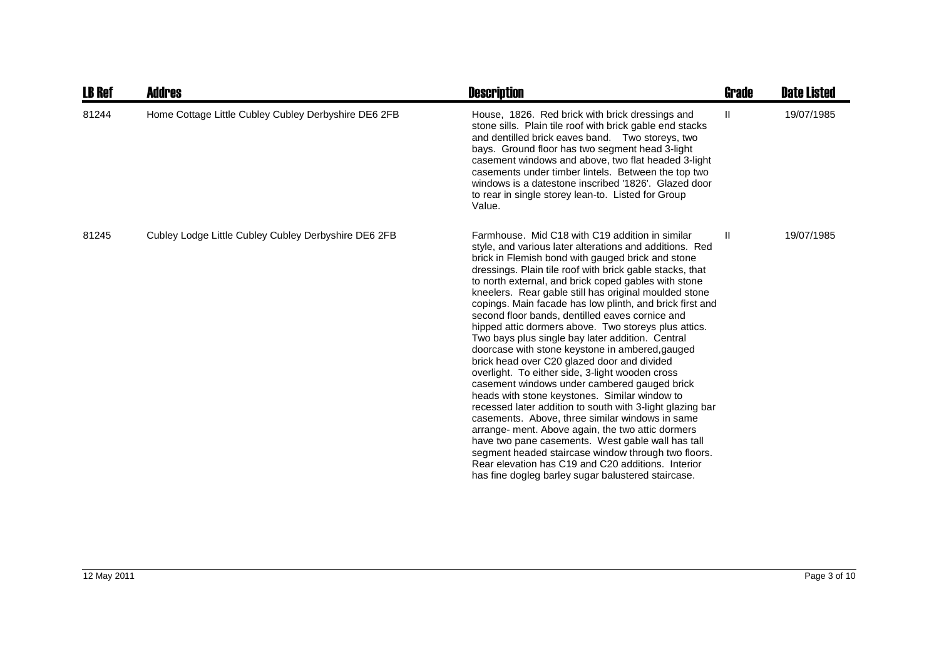| <b>LB Ref</b> | Addres                                               | <b>Description</b>                                                                                                                                                                                                                                                                                                                                                                                                                                                                                                                                                                                                                                                                                                                                                                                                                                                                                                                                                                                                                                                                                                                                                                                                         | Grade         | <b>Date Listed</b> |
|---------------|------------------------------------------------------|----------------------------------------------------------------------------------------------------------------------------------------------------------------------------------------------------------------------------------------------------------------------------------------------------------------------------------------------------------------------------------------------------------------------------------------------------------------------------------------------------------------------------------------------------------------------------------------------------------------------------------------------------------------------------------------------------------------------------------------------------------------------------------------------------------------------------------------------------------------------------------------------------------------------------------------------------------------------------------------------------------------------------------------------------------------------------------------------------------------------------------------------------------------------------------------------------------------------------|---------------|--------------------|
| 81244         | Home Cottage Little Cubley Cubley Derbyshire DE6 2FB | House, 1826. Red brick with brick dressings and<br>stone sills. Plain tile roof with brick gable end stacks<br>and dentilled brick eaves band. Two storeys, two<br>bays. Ground floor has two segment head 3-light<br>casement windows and above, two flat headed 3-light<br>casements under timber lintels. Between the top two<br>windows is a datestone inscribed '1826'. Glazed door<br>to rear in single storey lean-to. Listed for Group<br>Value.                                                                                                                                                                                                                                                                                                                                                                                                                                                                                                                                                                                                                                                                                                                                                                   | Ш             | 19/07/1985         |
| 81245         | Cubley Lodge Little Cubley Cubley Derbyshire DE6 2FB | Farmhouse. Mid C18 with C19 addition in similar<br>style, and various later alterations and additions. Red<br>brick in Flemish bond with gauged brick and stone<br>dressings. Plain tile roof with brick gable stacks, that<br>to north external, and brick coped gables with stone<br>kneelers. Rear gable still has original moulded stone<br>copings. Main facade has low plinth, and brick first and<br>second floor bands, dentilled eaves cornice and<br>hipped attic dormers above. Two storeys plus attics.<br>Two bays plus single bay later addition. Central<br>doorcase with stone keystone in ambered, gauged<br>brick head over C20 glazed door and divided<br>overlight. To either side, 3-light wooden cross<br>casement windows under cambered gauged brick<br>heads with stone keystones. Similar window to<br>recessed later addition to south with 3-light glazing bar<br>casements. Above, three similar windows in same<br>arrange- ment. Above again, the two attic dormers<br>have two pane casements. West gable wall has tall<br>segment headed staircase window through two floors.<br>Rear elevation has C19 and C20 additions. Interior<br>has fine dogleg barley sugar balustered staircase. | $\mathbf{II}$ | 19/07/1985         |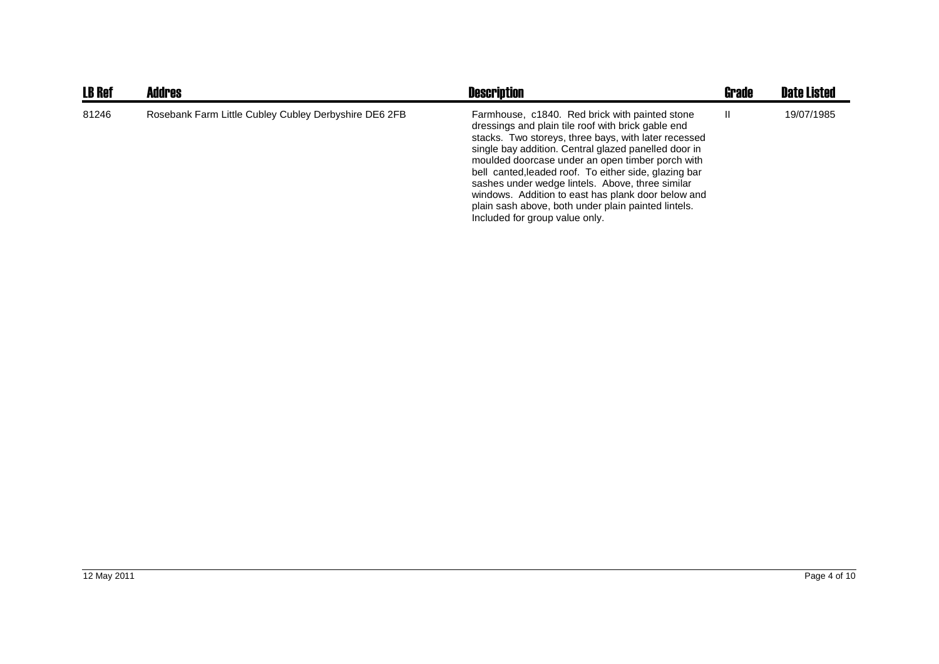| <b>LB Ref</b> | <b>Addres</b>                                         | <b>Description</b>                                                                                                                                                                                                                                                                                                                                                                                                                                                                                                                   | <b>Grade</b> | <b>Date Listed</b> |
|---------------|-------------------------------------------------------|--------------------------------------------------------------------------------------------------------------------------------------------------------------------------------------------------------------------------------------------------------------------------------------------------------------------------------------------------------------------------------------------------------------------------------------------------------------------------------------------------------------------------------------|--------------|--------------------|
| 81246         | Rosebank Farm Little Cubley Cubley Derbyshire DE6 2FB | Farmhouse, c1840. Red brick with painted stone<br>dressings and plain tile roof with brick gable end<br>stacks. Two storeys, three bays, with later recessed<br>single bay addition. Central glazed panelled door in<br>moulded doorcase under an open timber porch with<br>bell canted, leaded roof. To either side, glazing bar<br>sashes under wedge lintels. Above, three similar<br>windows. Addition to east has plank door below and<br>plain sash above, both under plain painted lintels.<br>Included for group value only. | Ш            | 19/07/1985         |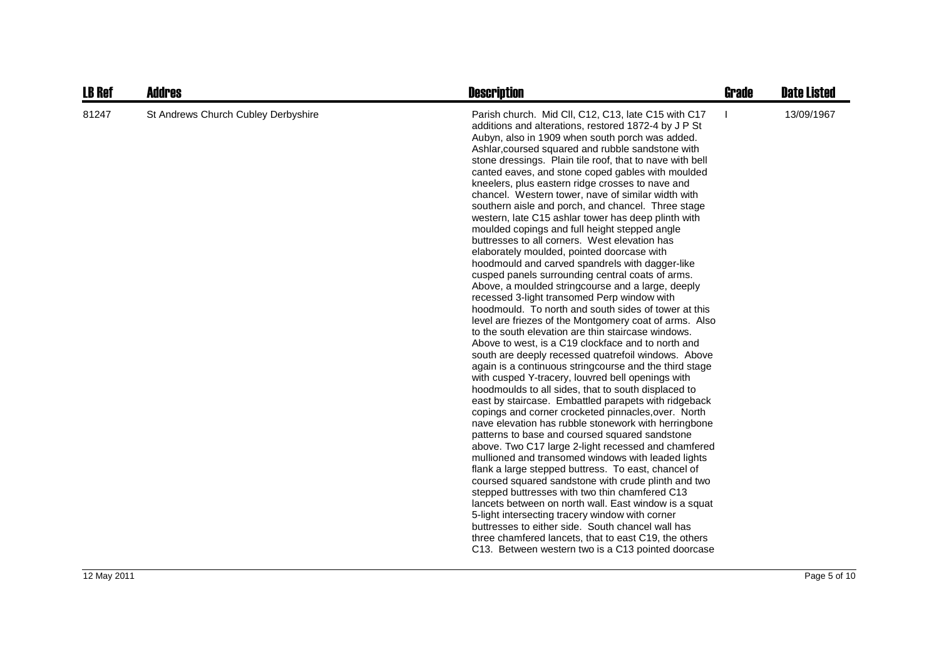| <b>LB Ref</b> | <b>Addres</b>                       | <b>Description</b>                                                                                                                                                                                                                                                                                                                                                                                                                                                                                                                                                                                                                                                                                                                                                                                                                                                                                                                                                                                                                                                                                                                                                                                                                                                                                                                                                                                                                                                                                                                                                                                                                                                                                                                                                                                                                                                                                                                                                                                                                                                                                                                                                        | <b>Grade</b> | <b>Date Listed</b> |
|---------------|-------------------------------------|---------------------------------------------------------------------------------------------------------------------------------------------------------------------------------------------------------------------------------------------------------------------------------------------------------------------------------------------------------------------------------------------------------------------------------------------------------------------------------------------------------------------------------------------------------------------------------------------------------------------------------------------------------------------------------------------------------------------------------------------------------------------------------------------------------------------------------------------------------------------------------------------------------------------------------------------------------------------------------------------------------------------------------------------------------------------------------------------------------------------------------------------------------------------------------------------------------------------------------------------------------------------------------------------------------------------------------------------------------------------------------------------------------------------------------------------------------------------------------------------------------------------------------------------------------------------------------------------------------------------------------------------------------------------------------------------------------------------------------------------------------------------------------------------------------------------------------------------------------------------------------------------------------------------------------------------------------------------------------------------------------------------------------------------------------------------------------------------------------------------------------------------------------------------------|--------------|--------------------|
| 81247         | St Andrews Church Cubley Derbyshire | Parish church. Mid Cll, C12, C13, late C15 with C17<br>additions and alterations, restored 1872-4 by J P St<br>Aubyn, also in 1909 when south porch was added.<br>Ashlar, coursed squared and rubble sandstone with<br>stone dressings. Plain tile roof, that to nave with bell<br>canted eaves, and stone coped gables with moulded<br>kneelers, plus eastern ridge crosses to nave and<br>chancel. Western tower, nave of similar width with<br>southern aisle and porch, and chancel. Three stage<br>western, late C15 ashlar tower has deep plinth with<br>moulded copings and full height stepped angle<br>buttresses to all corners. West elevation has<br>elaborately moulded, pointed doorcase with<br>hoodmould and carved spandrels with dagger-like<br>cusped panels surrounding central coats of arms.<br>Above, a moulded string course and a large, deeply<br>recessed 3-light transomed Perp window with<br>hoodmould. To north and south sides of tower at this<br>level are friezes of the Montgomery coat of arms. Also<br>to the south elevation are thin staircase windows.<br>Above to west, is a C19 clockface and to north and<br>south are deeply recessed quatrefoil windows. Above<br>again is a continuous string course and the third stage<br>with cusped Y-tracery, louvred bell openings with<br>hoodmoulds to all sides, that to south displaced to<br>east by staircase. Embattled parapets with ridgeback<br>copings and corner crocketed pinnacles, over. North<br>nave elevation has rubble stonework with herringbone<br>patterns to base and coursed squared sandstone<br>above. Two C17 large 2-light recessed and chamfered<br>mullioned and transomed windows with leaded lights<br>flank a large stepped buttress. To east, chancel of<br>coursed squared sandstone with crude plinth and two<br>stepped buttresses with two thin chamfered C13<br>lancets between on north wall. East window is a squat<br>5-light intersecting tracery window with corner<br>buttresses to either side. South chancel wall has<br>three chamfered lancets, that to east C19, the others<br>C13. Between western two is a C13 pointed doorcase |              | 13/09/1967         |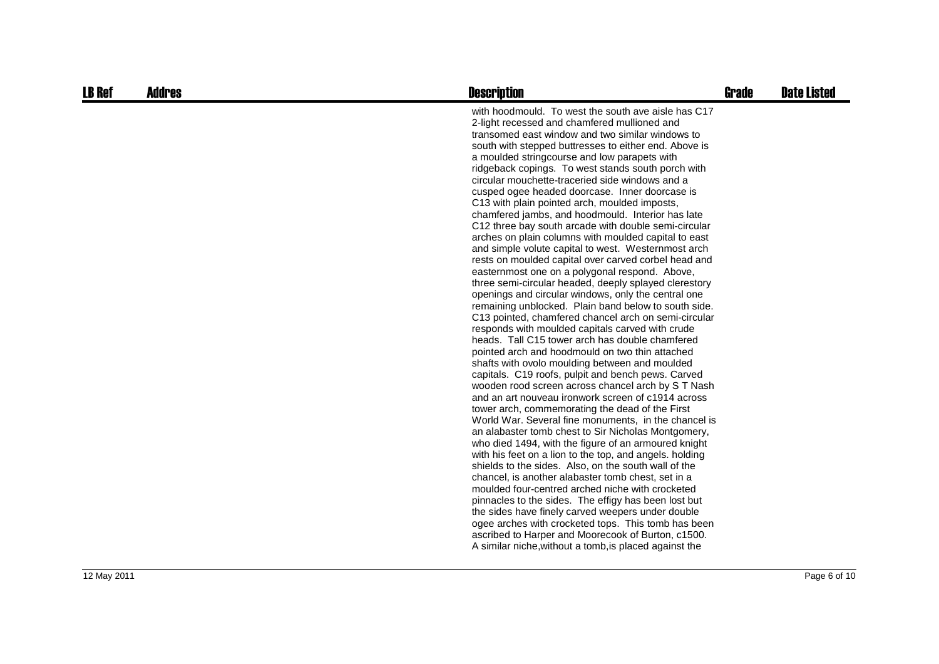| <b>LB Ref</b> | <b>Addres</b> | <b>Description</b>                                                                                                                                                                                                                                                                                                                                                                                                                                                                                                                                                                                                                                                                                                                                                                                                                                                                                                                                                                                                                                                                                                                                                                                                                                                                                                                                                                                                                                                                                                                                                                                                                                                                                                                                                                                                                                                                                                                                                                                                                                                                                                                                                         | <b>Grade</b> | <b>Date Listed</b> |
|---------------|---------------|----------------------------------------------------------------------------------------------------------------------------------------------------------------------------------------------------------------------------------------------------------------------------------------------------------------------------------------------------------------------------------------------------------------------------------------------------------------------------------------------------------------------------------------------------------------------------------------------------------------------------------------------------------------------------------------------------------------------------------------------------------------------------------------------------------------------------------------------------------------------------------------------------------------------------------------------------------------------------------------------------------------------------------------------------------------------------------------------------------------------------------------------------------------------------------------------------------------------------------------------------------------------------------------------------------------------------------------------------------------------------------------------------------------------------------------------------------------------------------------------------------------------------------------------------------------------------------------------------------------------------------------------------------------------------------------------------------------------------------------------------------------------------------------------------------------------------------------------------------------------------------------------------------------------------------------------------------------------------------------------------------------------------------------------------------------------------------------------------------------------------------------------------------------------------|--------------|--------------------|
|               |               | with hoodmould. To west the south ave aisle has C17<br>2-light recessed and chamfered mullioned and<br>transomed east window and two similar windows to<br>south with stepped buttresses to either end. Above is<br>a moulded stringcourse and low parapets with<br>ridgeback copings. To west stands south porch with<br>circular mouchette-traceried side windows and a<br>cusped ogee headed doorcase. Inner doorcase is<br>C13 with plain pointed arch, moulded imposts,<br>chamfered jambs, and hoodmould. Interior has late<br>C12 three bay south arcade with double semi-circular<br>arches on plain columns with moulded capital to east<br>and simple volute capital to west. Westernmost arch<br>rests on moulded capital over carved corbel head and<br>easternmost one on a polygonal respond. Above,<br>three semi-circular headed, deeply splayed clerestory<br>openings and circular windows, only the central one<br>remaining unblocked. Plain band below to south side.<br>C13 pointed, chamfered chancel arch on semi-circular<br>responds with moulded capitals carved with crude<br>heads. Tall C15 tower arch has double chamfered<br>pointed arch and hoodmould on two thin attached<br>shafts with ovolo moulding between and moulded<br>capitals. C19 roofs, pulpit and bench pews. Carved<br>wooden rood screen across chancel arch by ST Nash<br>and an art nouveau ironwork screen of c1914 across<br>tower arch, commemorating the dead of the First<br>World War. Several fine monuments, in the chancel is<br>an alabaster tomb chest to Sir Nicholas Montgomery,<br>who died 1494, with the figure of an armoured knight<br>with his feet on a lion to the top, and angels. holding<br>shields to the sides. Also, on the south wall of the<br>chancel, is another alabaster tomb chest, set in a<br>moulded four-centred arched niche with crocketed<br>pinnacles to the sides. The effigy has been lost but<br>the sides have finely carved weepers under double<br>ogee arches with crocketed tops. This tomb has been<br>ascribed to Harper and Moorecook of Burton, c1500.<br>A similar niche, without a tomb, is placed against the |              |                    |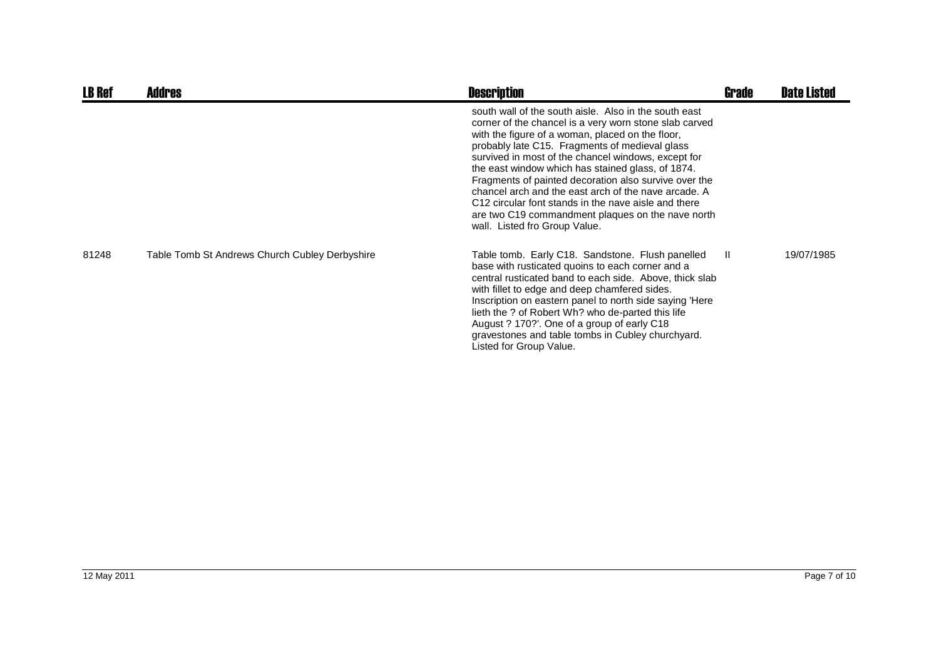| <b>LB Ref</b> | <b>Addres</b>                                  | <b>Description</b>                                                                                                                                                                                                                                                                                                                                                                                                                                                                                                                                                                               | Grade | <b>Date Listed</b> |
|---------------|------------------------------------------------|--------------------------------------------------------------------------------------------------------------------------------------------------------------------------------------------------------------------------------------------------------------------------------------------------------------------------------------------------------------------------------------------------------------------------------------------------------------------------------------------------------------------------------------------------------------------------------------------------|-------|--------------------|
|               |                                                | south wall of the south aisle. Also in the south east<br>corner of the chancel is a very worn stone slab carved<br>with the figure of a woman, placed on the floor,<br>probably late C15. Fragments of medieval glass<br>survived in most of the chancel windows, except for<br>the east window which has stained glass, of 1874.<br>Fragments of painted decoration also survive over the<br>chancel arch and the east arch of the nave arcade. A<br>C12 circular font stands in the nave aisle and there<br>are two C19 commandment plaques on the nave north<br>wall. Listed fro Group Value. |       |                    |
| 81248         | Table Tomb St Andrews Church Cubley Derbyshire | Table tomb. Early C18. Sandstone. Flush panelled<br>base with rusticated quoins to each corner and a<br>central rusticated band to each side. Above, thick slab<br>with fillet to edge and deep chamfered sides.<br>Inscription on eastern panel to north side saying 'Here<br>lieth the ? of Robert Wh? who de-parted this life<br>August ? 170?'. One of a group of early C18<br>gravestones and table tombs in Cubley churchyard.<br>Listed for Group Value.                                                                                                                                  | -II.  | 19/07/1985         |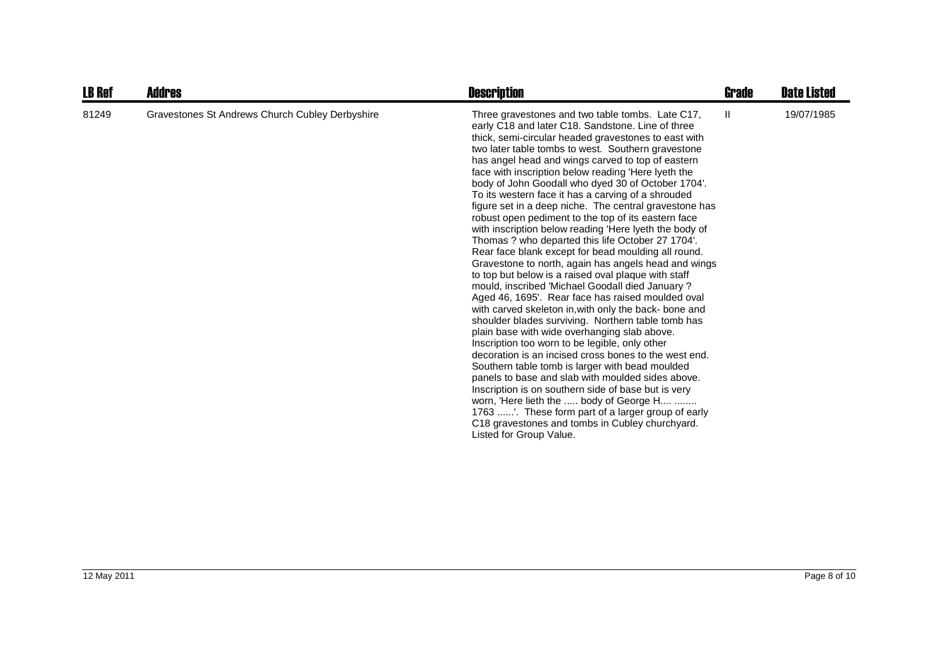| <b>LB Ref</b> | <b>Addres</b>                                   | <b>Description</b>                                                                                                                                                                                                                                                                                                                                                                                                                                                                                                                                                                                                                                                                                                                                                                                                                                                                                                                                                                                                                                                                                                                                                                                                                                                                                                                                                                                                                                                                                                                                                                            | Grade        | <b>Date Listed</b> |
|---------------|-------------------------------------------------|-----------------------------------------------------------------------------------------------------------------------------------------------------------------------------------------------------------------------------------------------------------------------------------------------------------------------------------------------------------------------------------------------------------------------------------------------------------------------------------------------------------------------------------------------------------------------------------------------------------------------------------------------------------------------------------------------------------------------------------------------------------------------------------------------------------------------------------------------------------------------------------------------------------------------------------------------------------------------------------------------------------------------------------------------------------------------------------------------------------------------------------------------------------------------------------------------------------------------------------------------------------------------------------------------------------------------------------------------------------------------------------------------------------------------------------------------------------------------------------------------------------------------------------------------------------------------------------------------|--------------|--------------------|
| 81249         | Gravestones St Andrews Church Cubley Derbyshire | Three gravestones and two table tombs. Late C17,<br>early C18 and later C18. Sandstone. Line of three<br>thick, semi-circular headed gravestones to east with<br>two later table tombs to west. Southern gravestone<br>has angel head and wings carved to top of eastern<br>face with inscription below reading 'Here lyeth the<br>body of John Goodall who dyed 30 of October 1704'.<br>To its western face it has a carving of a shrouded<br>figure set in a deep niche. The central gravestone has<br>robust open pediment to the top of its eastern face<br>with inscription below reading 'Here lyeth the body of<br>Thomas ? who departed this life October 27 1704'.<br>Rear face blank except for bead moulding all round.<br>Gravestone to north, again has angels head and wings<br>to top but below is a raised oval plaque with staff<br>mould, inscribed 'Michael Goodall died January?<br>Aged 46, 1695'. Rear face has raised moulded oval<br>with carved skeleton in, with only the back- bone and<br>shoulder blades surviving. Northern table tomb has<br>plain base with wide overhanging slab above.<br>Inscription too worn to be legible, only other<br>decoration is an incised cross bones to the west end.<br>Southern table tomb is larger with bead moulded<br>panels to base and slab with moulded sides above.<br>Inscription is on southern side of base but is very<br>worn, 'Here lieth the  body of George H<br>1763 '. These form part of a larger group of early<br>C <sub>18</sub> gravestones and tombs in Cubley churchyard.<br>Listed for Group Value. | $\mathbf{H}$ | 19/07/1985         |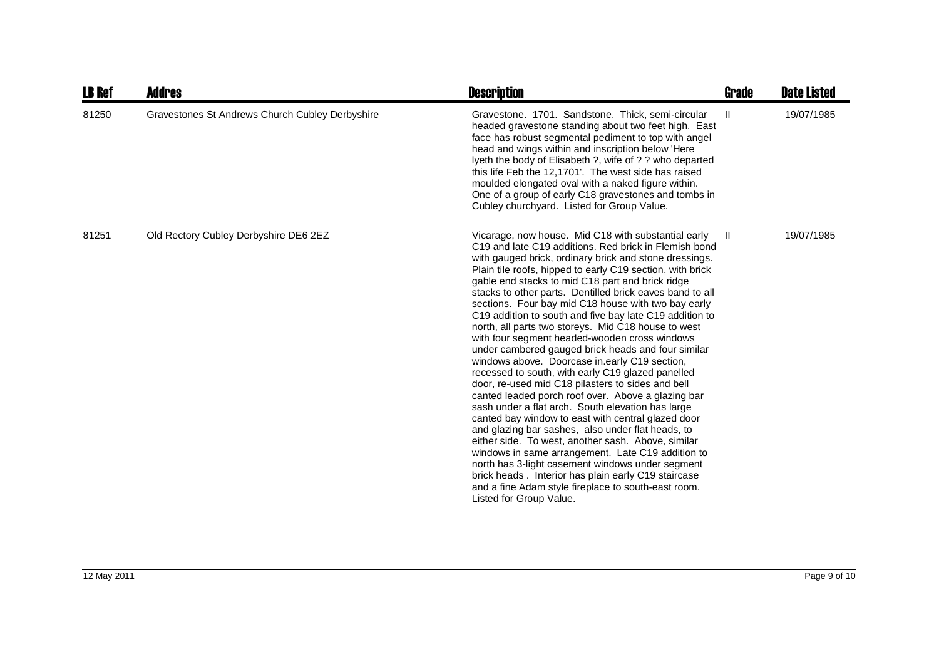| <b>LB Ref</b> | Addres                                          | <b>Description</b>                                                                                                                                                                                                                                                                                                                                                                                                                                                                                                                                                                                                                                                                                                                                                                                                                                                                                                                                                                                                                                                                                                                                                                                                                                                                                                           | Grade | <b>Date Listed</b> |
|---------------|-------------------------------------------------|------------------------------------------------------------------------------------------------------------------------------------------------------------------------------------------------------------------------------------------------------------------------------------------------------------------------------------------------------------------------------------------------------------------------------------------------------------------------------------------------------------------------------------------------------------------------------------------------------------------------------------------------------------------------------------------------------------------------------------------------------------------------------------------------------------------------------------------------------------------------------------------------------------------------------------------------------------------------------------------------------------------------------------------------------------------------------------------------------------------------------------------------------------------------------------------------------------------------------------------------------------------------------------------------------------------------------|-------|--------------------|
| 81250         | Gravestones St Andrews Church Cubley Derbyshire | Gravestone. 1701. Sandstone. Thick, semi-circular<br>headed gravestone standing about two feet high. East<br>face has robust segmental pediment to top with angel<br>head and wings within and inscription below 'Here<br>lyeth the body of Elisabeth ?, wife of ? ? who departed<br>this life Feb the 12,1701'. The west side has raised<br>moulded elongated oval with a naked figure within.<br>One of a group of early C18 gravestones and tombs in<br>Cubley churchyard. Listed for Group Value.                                                                                                                                                                                                                                                                                                                                                                                                                                                                                                                                                                                                                                                                                                                                                                                                                        | Ш     | 19/07/1985         |
| 81251         | Old Rectory Cubley Derbyshire DE6 2EZ           | Vicarage, now house. Mid C18 with substantial early<br>C19 and late C19 additions. Red brick in Flemish bond<br>with gauged brick, ordinary brick and stone dressings.<br>Plain tile roofs, hipped to early C19 section, with brick<br>gable end stacks to mid C18 part and brick ridge<br>stacks to other parts. Dentilled brick eaves band to all<br>sections. Four bay mid C18 house with two bay early<br>C19 addition to south and five bay late C19 addition to<br>north, all parts two storeys. Mid C18 house to west<br>with four segment headed-wooden cross windows<br>under cambered gauged brick heads and four similar<br>windows above. Doorcase in early C19 section,<br>recessed to south, with early C19 glazed panelled<br>door, re-used mid C18 pilasters to sides and bell<br>canted leaded porch roof over. Above a glazing bar<br>sash under a flat arch. South elevation has large<br>canted bay window to east with central glazed door<br>and glazing bar sashes, also under flat heads, to<br>either side. To west, another sash. Above, similar<br>windows in same arrangement. Late C19 addition to<br>north has 3-light casement windows under segment<br>brick heads. Interior has plain early C19 staircase<br>and a fine Adam style fireplace to south-east room.<br>Listed for Group Value. | - II  | 19/07/1985         |